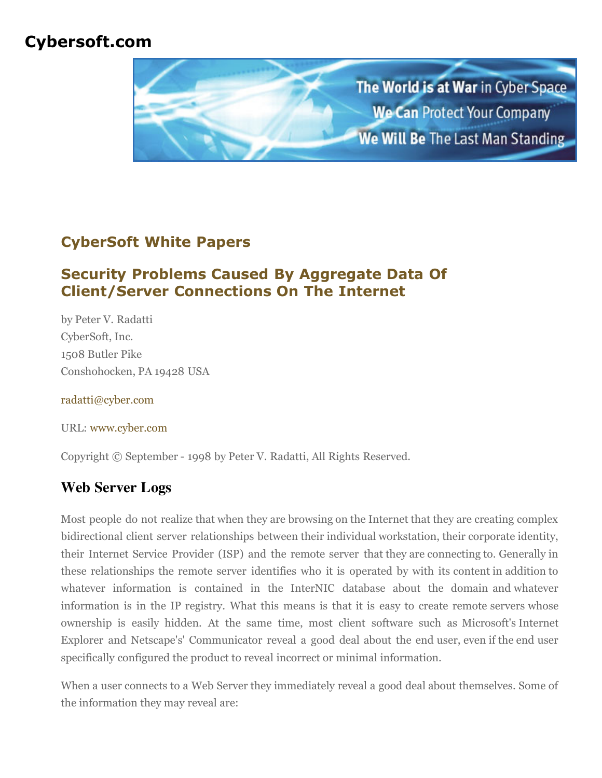# **Cybersoft.com**



# **CyberSoft White Papers**

# **Security Problems Caused By Aggregate Data Of Client/Server Connections On The Internet**

by Peter V. Radatti CyberSoft, Inc. 1508 Butler Pike Conshohocken, PA 19428 USA

[radatti@cyber.com](mailto:radatti@cyber.com)

URL: [www.cyber.com](http://www.cyber.com/)

Copyright © September - 1998 by Peter V. Radatti, All Rights Reserved.

# **Web Server Logs**

Most people do not realize that when they are browsing on the Internet that they are creating complex bidirectional client server relationships between their individual workstation, their corporate identity, their Internet Service Provider (ISP) and the remote server that they are connecting to. Generally in these relationships the remote server identifies who it is operated by with its content in addition to whatever information is contained in the InterNIC database about the domain and whatever information is in the IP registry. What this means is that it is easy to create remote servers whose ownership is easily hidden. At the same time, most client software such as Microsoft's Internet Explorer and Netscape's' Communicator reveal a good deal about the end user, even if the end user specifically configured the product to reveal incorrect or minimal information.

When a user connects to a Web Server they immediately reveal a good deal about themselves. Some of the information they may reveal are: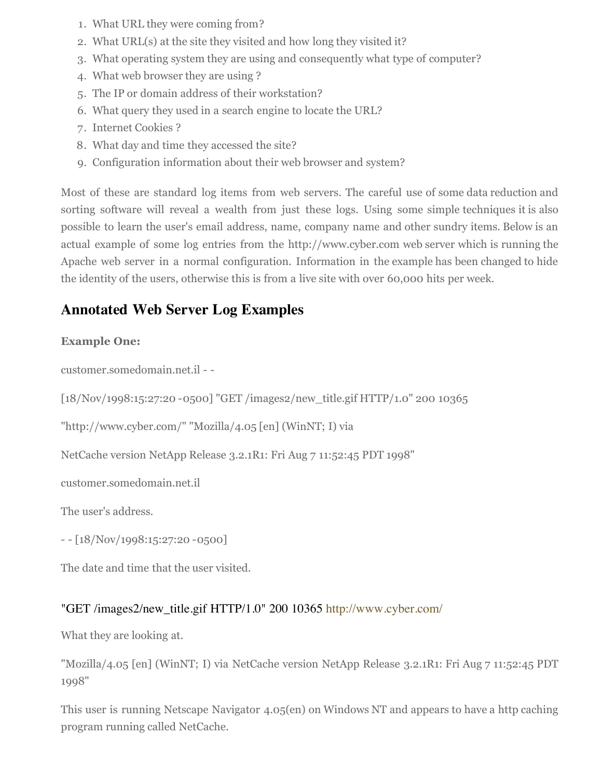- 1. What URL they were coming from?
- 2. What URL(s) at the site they visited and how long they visited it?
- 3. What operating system they are using and consequently what type of computer?
- 4. What web browser they are using ?
- 5. The IP or domain address of their workstation?
- 6. What query they used in a search engine to locate the URL?
- 7. Internet Cookies ?
- 8. What day and time they accessed the site?
- 9. Configuration information about their web browser and system?

Most of these are standard log items from web servers. The careful use of some data reduction and sorting software will reveal a wealth from just these logs. Using some simple techniques it is also possible to learn the user's email address, name, company name and other sundry items. Below is an actual example of some log entries from the http://www.cyber.com web server which is running the Apache web server in a normal configuration. Information in the example has been changed to hide the identity of the users, otherwise this is from a live site with over 60,000 hits per week.

## **Annotated Web Server Log Examples**

#### **Example One:**

customer.somedomain.net.il - -

[18/Nov/1998:15:27:20 -0500] "GET /images2/new\_title.gif HTTP/1.0" 200 10365

"http://www.cyber.com/" "Mozilla/4.05 [en] (WinNT; I) via

NetCache version NetApp Release 3.2.1R1: Fri Aug 7 11:52:45 PDT 1998"

customer.somedomain.net.il

The user's address.

- - [18/Nov/1998:15:27:20 -0500]

The date and time that the user visited.

#### "GET /images2/new\_title.gif HTTP/1.0" 200 10365 <http://www.cyber.com/>

What they are looking at.

"Mozilla/4.05 [en] (WinNT; I) via NetCache version NetApp Release 3.2.1R1: Fri Aug 7 11:52:45 PDT 1998"

This user is running Netscape Navigator 4.05(en) on Windows NT and appears to have a http caching program running called NetCache.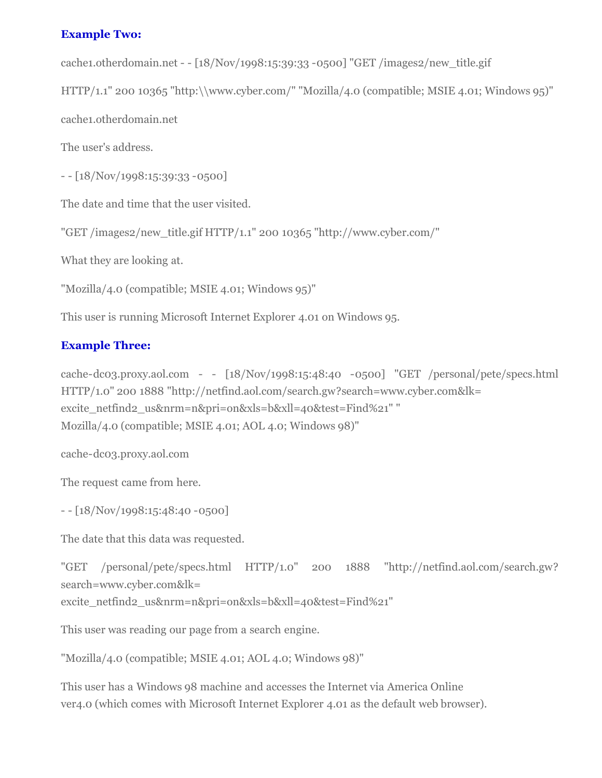#### **Example Two:**

cache1.otherdomain.net - - [18/Nov/1998:15:39:33 -0500] "GET /images2/new\_title.gif

HTTP/1.1" 200 10365 "http:\\www.cyber.com/" "Mozilla/4.0 (compatible; MSIE 4.01; Windows 95)"

cache1.otherdomain.net

The user's address.

- - [18/Nov/1998:15:39:33 -0500]

The date and time that the user visited.

"GET /images2/new\_title.gif HTTP/1.1" 200 10365 "http://www.cyber.com/"

What they are looking at.

"Mozilla/4.0 (compatible; MSIE 4.01; Windows 95)"

This user is running Microsoft Internet Explorer 4.01 on Windows 95.

#### **Example Three:**

cache-dc03.proxy.aol.com - - [18/Nov/1998:15:48:40 -0500] "GET /personal/pete/specs.html HTTP/1.0" 200 1888 "http://netfind.aol.com/search.gw?search=www.cyber.com&lk= excite\_netfind2\_us&nrm=n&pri=on&xls=b&xll=40&test=Find%21" " Mozilla/4.0 (compatible; MSIE 4.01; AOL 4.0; Windows 98)"

cache-dc03.proxy.aol.com

The request came from here.

 $[18/Nov/1998:15:48:40 - 0500]$ 

The date that this data was requested.

"GET /personal/pete/specs.html HTTP/1.0" 200 1888 "http://netfind.aol.com/search.gw? search=www.cyber.com&lk=

excite\_netfind2\_us&nrm=n&pri=on&xls=b&xll=40&test=Find%21"

This user was reading our page from a search engine.

"Mozilla/4.0 (compatible; MSIE 4.01; AOL 4.0; Windows 98)"

This user has a Windows 98 machine and accesses the Internet via America Online ver4.0 (which comes with Microsoft Internet Explorer 4.01 as the default web browser).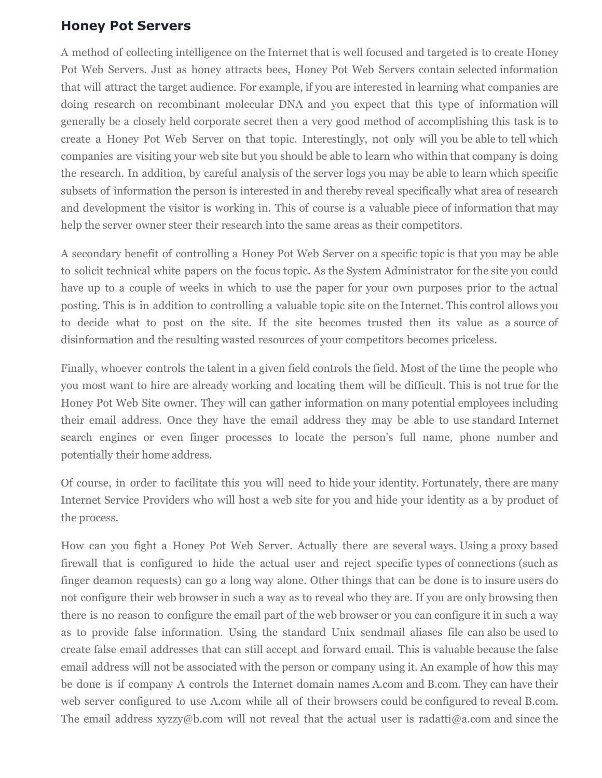### **Honey Pot Servers**

A method of collecting intelligence on the Internet that is well focused and targeted is to create Honey Pot Web Servers. Just as honey attracts bees, Honey Pot Web Servers contain selected information that will attract the target audience. For example, if you are interested in learning what companies are doing research on recombinant molecular DNA and you expect that this type of information will generally be a closely held corporate secret then a very good method of accomplishing this task is to create a Honey Pot Web Server on that topic. Interestingly, not only will you be able to tell which companies are visiting your web site but you should be able to learn who within that company is doing the research. In addition, by careful analysis of the server logs you may be able to learn which specific subsets of information the person is interested in and thereby reveal specifically what area of research and development the visitor is working in. This of course is a valuable piece of information that may help the server owner steer their research into the same areas as their competitors.

A secondary benefit of controlling a Honey Pot Web Server on a specific topic is that you may be able to solicit technical white papers on the focus topic. As the System Administrator for the site you could have up to a couple of weeks in which to use the paper for your own purposes prior to the actual posting. This is in addition to controlling a valuable topic site on the Internet. This control allows you to decide what to post on the site. If the site becomes trusted then its value as a source of disinformation and the resulting wasted resources of your competitors becomes priceless.

Finally, whoever controls the talent in a given field controls the field. Most of the time the people who you most want to hire are already working and locating them will be difficult. This is not true for the Honey Pot Web Site owner. They will can gather information on many potential employees including their email address. Once they have the email address they may be able to use standard Internet search engines or even finger processes to locate the person's full name, phone number and potentially their home address.

Of course, in order to facilitate this you will need to hide your identity. Fortunately, there are many Internet Service Providers who will host a web site for you and hide your identity as a by product of the process.

How can you fight a Honey Pot Web Server. Actually there are several ways. Using a proxy based firewall that is configured to hide the actual user and reject specific types of connections (such as finger deamon requests) can go a long way alone. Other things that can be done is to insure users do not configure their web browser in such a way as to reveal who they are. If you are only browsing then there is no reason to configure the email part of the web browser or you can configure it in such a way as to provide false information. Using the standard Unix sendmail aliases file can also be used to create false email addresses that can still accept and forward email. This is valuable because the false email address will not be associated with the person or company using it. An example of how this may be done is if company A controls the Internet domain names A.com and B.com. They can have their web server configured to use A.com while all of their browsers could be configured to reveal B.com. The email address  $xyzy@b.com$  will not reveal that the actual user is radatti $@a.com$  and since the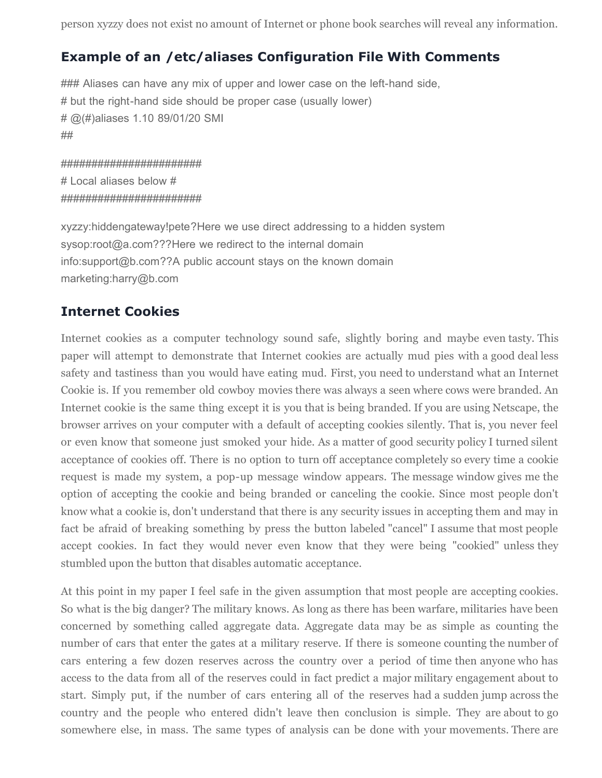person xyzzy does not exist no amount of Internet or phone book searches will reveal any information.

## **Example of an /etc/aliases Configuration File With Comments**

### Aliases can have any mix of upper and lower case on the left-hand side, # but the right-hand side should be proper case (usually lower) # @(#)aliases 1.10 89/01/20 SMI ##

####################### # Local aliases below # #######################

xyzzy:hiddengateway!pete?Here we use direct addressing to a hidden system sysop:root@a.com???Here we redirect to the internal domain info:support@b.com??A public account stays on the known domain marketing:harry@b.com

### **Internet Cookies**

Internet cookies as a computer technology sound safe, slightly boring and maybe even tasty. This paper will attempt to demonstrate that Internet cookies are actually mud pies with a good deal less safety and tastiness than you would have eating mud. First, you need to understand what an Internet Cookie is. If you remember old cowboy movies there was always a seen where cows were branded. An Internet cookie is the same thing except it is you that is being branded. If you are using Netscape, the browser arrives on your computer with a default of accepting cookies silently. That is, you never feel or even know that someone just smoked your hide. As a matter of good security policy I turned silent acceptance of cookies off. There is no option to turn off acceptance completely so every time a cookie request is made my system, a pop-up message window appears. The message window gives me the option of accepting the cookie and being branded or canceling the cookie. Since most people don't know what a cookie is, don't understand that there is any security issues in accepting them and may in fact be afraid of breaking something by press the button labeled "cancel" I assume that most people accept cookies. In fact they would never even know that they were being "cookied" unless they stumbled upon the button that disables automatic acceptance.

At this point in my paper I feel safe in the given assumption that most people are accepting cookies. So what is the big danger? The military knows. As long as there has been warfare, militaries have been concerned by something called aggregate data. Aggregate data may be as simple as counting the number of cars that enter the gates at a military reserve. If there is someone counting the number of cars entering a few dozen reserves across the country over a period of time then anyone who has access to the data from all of the reserves could in fact predict a major military engagement about to start. Simply put, if the number of cars entering all of the reserves had a sudden jump across the country and the people who entered didn't leave then conclusion is simple. They are about to go somewhere else, in mass. The same types of analysis can be done with your movements. There are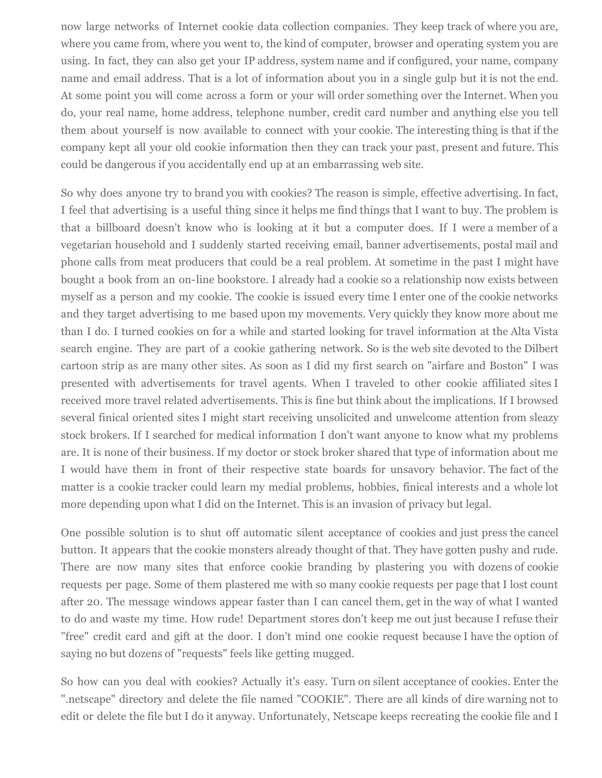now large networks of Internet cookie data collection companies. They keep track of where you are, where you came from, where you went to, the kind of computer, browser and operating system you are using. In fact, they can also get your IP address, system name and if configured, your name, company name and email address. That is a lot of information about you in a single gulp but it is not the end. At some point you will come across a form or your will order something over the Internet. When you do, your real name, home address, telephone number, credit card number and anything else you tell them about yourself is now available to connect with your cookie. The interesting thing is that if the company kept all your old cookie information then they can track your past, present and future. This could be dangerous if you accidentally end up at an embarrassing web site.

So why does anyone try to brand you with cookies? The reason is simple, effective advertising. In fact, I feel that advertising is a useful thing since it helps me find things that I want to buy. The problem is that a billboard doesn't know who is looking at it but a computer does. If I were a member of a vegetarian household and I suddenly started receiving email, banner advertisements, postal mail and phone calls from meat producers that could be a real problem. At sometime in the past I might have bought a book from an on-line bookstore. I already had a cookie so a relationship now exists between myself as a person and my cookie. The cookie is issued every time I enter one of the cookie networks and they target advertising to me based upon my movements. Very quickly they know more about me than I do. I turned cookies on for a while and started looking for travel information at the Alta Vista search engine. They are part of a cookie gathering network. So is the web site devoted to the Dilbert cartoon strip as are many other sites. As soon as I did my first search on "airfare and Boston" I was presented with advertisements for travel agents. When I traveled to other cookie affiliated sites I received more travel related advertisements. This is fine but think about the implications. If I browsed several finical oriented sites I might start receiving unsolicited and unwelcome attention from sleazy stock brokers. If I searched for medical information I don't want anyone to know what my problems are. It is none of their business. If my doctor or stock broker shared that type of information about me I would have them in front of their respective state boards for unsavory behavior. The fact of the matter is a cookie tracker could learn my medial problems, hobbies, finical interests and a whole lot more depending upon what I did on the Internet. This is an invasion of privacy but legal.

One possible solution is to shut off automatic silent acceptance of cookies and just press the cancel button. It appears that the cookie monsters already thought of that. They have gotten pushy and rude. There are now many sites that enforce cookie branding by plastering you with dozens of cookie requests per page. Some of them plastered me with so many cookie requests per page that I lost count after 20. The message windows appear faster than I can cancel them, get in the way of what I wanted to do and waste my time. How rude! Department stores don't keep me out just because I refuse their "free" credit card and gift at the door. I don't mind one cookie request because I have the option of saying no but dozens of "requests" feels like getting mugged.

So how can you deal with cookies? Actually it's easy. Turn on silent acceptance of cookies. Enter the ".netscape" directory and delete the file named "COOKIE". There are all kinds of dire warning not to edit or delete the file but I do it anyway. Unfortunately, Netscape keeps recreating the cookie file and I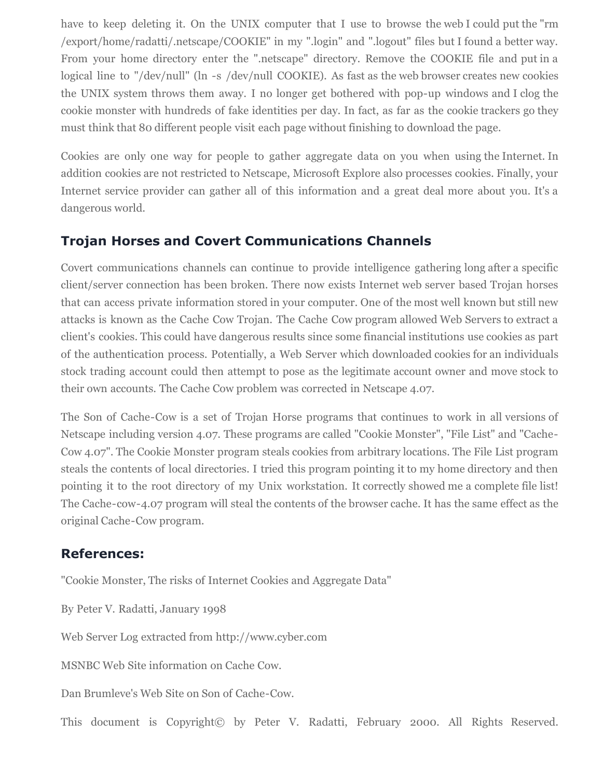have to keep deleting it. On the UNIX computer that I use to browse the web I could put the "rm /export/home/radatti/.netscape/COOKIE" in my ".login" and ".logout" files but I found a better way. From your home directory enter the ".netscape" directory. Remove the COOKIE file and put in a logical line to "/dev/null" (ln -s /dev/null COOKIE). As fast as the web browser creates new cookies the UNIX system throws them away. I no longer get bothered with pop-up windows and I clog the cookie monster with hundreds of fake identities per day. In fact, as far as the cookie trackers go they must think that 80 different people visit each page without finishing to download the page.

Cookies are only one way for people to gather aggregate data on you when using the Internet. In addition cookies are not restricted to Netscape, Microsoft Explore also processes cookies. Finally, your Internet service provider can gather all of this information and a great deal more about you. It's a dangerous world.

## **Trojan Horses and Covert Communications Channels**

Covert communications channels can continue to provide intelligence gathering long after a specific client/server connection has been broken. There now exists Internet web server based Trojan horses that can access private information stored in your computer. One of the most well known but still new attacks is known as the Cache Cow Trojan. The Cache Cow program allowed Web Servers to extract a client's cookies. This could have dangerous results since some financial institutions use cookies as part of the authentication process. Potentially, a Web Server which downloaded cookies for an individuals stock trading account could then attempt to pose as the legitimate account owner and move stock to their own accounts. The Cache Cow problem was corrected in Netscape 4.07.

The Son of Cache-Cow is a set of Trojan Horse programs that continues to work in all versions of Netscape including version 4.07. These programs are called "Cookie Monster", "File List" and "Cache-Cow 4.07". The Cookie Monster program steals cookies from arbitrary locations. The File List program steals the contents of local directories. I tried this program pointing it to my home directory and then pointing it to the root directory of my Unix workstation. It correctly showed me a complete file list! The Cache-cow-4.07 program will steal the contents of the browser cache. It has the same effect as the original Cache-Cow program.

### **References:**

"Cookie Monster, The risks of Internet Cookies and Aggregate Data"

By Peter V. Radatti, January 1998

Web Server Log extracted from http://www.cyber.com

MSNBC Web Site information on Cache Cow.

Dan Brumleve's Web Site on Son of Cache-Cow.

This document is Copyright© by Peter V. Radatti, February 2000. All Rights Reserved.